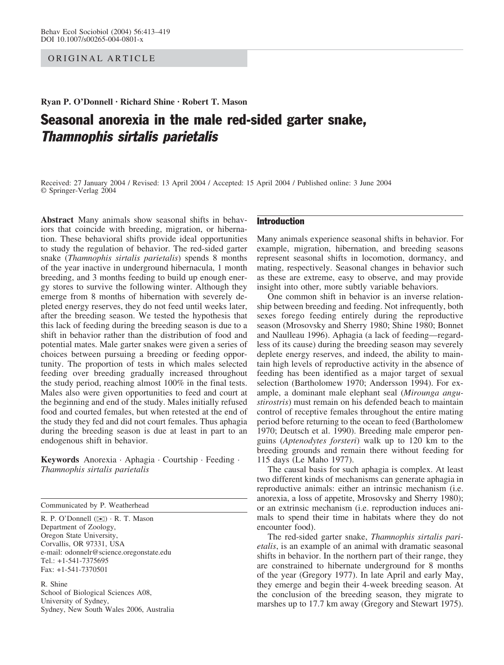# ORIGINAL ARTICLE

Ryan P. O'Donnell · Richard Shine · Robert T. Mason

# Seasonal anorexia in the male red-sided garter snake, Thamnophis sirtalis parietalis

Received: 27 January 2004 / Revised: 13 April 2004 / Accepted: 15 April 2004 / Published online: 3 June 2004 Springer-Verlag 2004

Abstract Many animals show seasonal shifts in behaviors that coincide with breeding, migration, or hibernation. These behavioral shifts provide ideal opportunities to study the regulation of behavior. The red-sided garter snake (Thamnophis sirtalis parietalis) spends 8 months of the year inactive in underground hibernacula, 1 month breeding, and 3 months feeding to build up enough energy stores to survive the following winter. Although they emerge from 8 months of hibernation with severely depleted energy reserves, they do not feed until weeks later, after the breeding season. We tested the hypothesis that this lack of feeding during the breeding season is due to a shift in behavior rather than the distribution of food and potential mates. Male garter snakes were given a series of choices between pursuing a breeding or feeding opportunity. The proportion of tests in which males selected feeding over breeding gradually increased throughout the study period, reaching almost 100% in the final tests. Males also were given opportunities to feed and court at the beginning and end of the study. Males initially refused food and courted females, but when retested at the end of the study they fed and did not court females. Thus aphagia during the breeding season is due at least in part to an endogenous shift in behavior.

Keywords Anorexia · Aphagia · Courtship · Feeding · Thamnophis sirtalis parietalis

Communicated by P. Weatherhead

R. P. O'Donnell ( $\boxtimes$ ) · R. T. Mason Department of Zoology, Oregon State University, Corvallis, OR 97331, USA e-mail: odonnelr@science.oregonstate.edu Tel.: +1-541-7375695 Fax: +1-541-7370501

R. Shine School of Biological Sciences A08, University of Sydney, Sydney, New South Wales 2006, Australia

# Introduction

Many animals experience seasonal shifts in behavior. For example, migration, hibernation, and breeding seasons represent seasonal shifts in locomotion, dormancy, and mating, respectively. Seasonal changes in behavior such as these are extreme, easy to observe, and may provide insight into other, more subtly variable behaviors.

One common shift in behavior is an inverse relationship between breeding and feeding. Not infrequently, both sexes forego feeding entirely during the reproductive season (Mrosovsky and Sherry 1980; Shine 1980; Bonnet and Naulleau 1996). Aphagia (a lack of feeding—regardless of its cause) during the breeding season may severely deplete energy reserves, and indeed, the ability to maintain high levels of reproductive activity in the absence of feeding has been identified as a major target of sexual selection (Bartholomew 1970; Andersson 1994). For example, a dominant male elephant seal (Mirounga angustirostris) must remain on his defended beach to maintain control of receptive females throughout the entire mating period before returning to the ocean to feed (Bartholomew 1970; Deutsch et al. 1990). Breeding male emperor penguins (Aptenodytes forsteri) walk up to 120 km to the breeding grounds and remain there without feeding for 115 days (Le Maho 1977).

The causal basis for such aphagia is complex. At least two different kinds of mechanisms can generate aphagia in reproductive animals: either an intrinsic mechanism (i.e. anorexia, a loss of appetite, Mrosovsky and Sherry 1980); or an extrinsic mechanism (i.e. reproduction induces animals to spend their time in habitats where they do not encounter food).

The red-sided garter snake, Thamnophis sirtalis parietalis, is an example of an animal with dramatic seasonal shifts in behavior. In the northern part of their range, they are constrained to hibernate underground for 8 months of the year (Gregory 1977). In late April and early May, they emerge and begin their 4-week breeding season. At the conclusion of the breeding season, they migrate to marshes up to 17.7 km away (Gregory and Stewart 1975).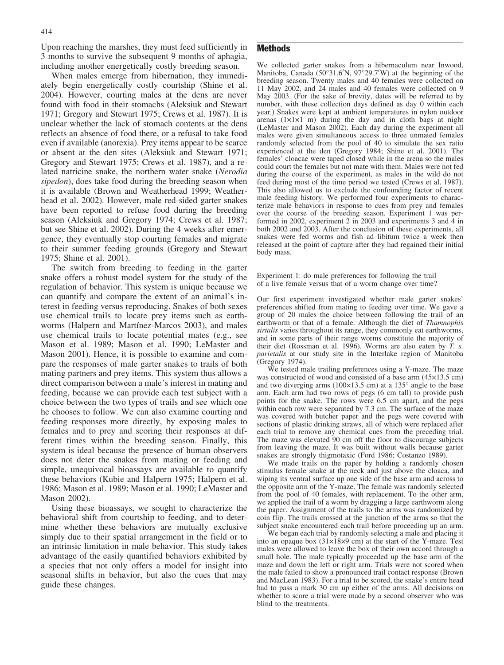Upon reaching the marshes, they must feed sufficiently in 3 months to survive the subsequent 9 months of aphagia, including another energetically costly breeding season.

When males emerge from hibernation, they immediately begin energetically costly courtship (Shine et al. 2004). However, courting males at the dens are never found with food in their stomachs (Aleksiuk and Stewart 1971; Gregory and Stewart 1975; Crews et al. 1987). It is unclear whether the lack of stomach contents at the dens reflects an absence of food there, or a refusal to take food even if available (anorexia). Prey items appear to be scarce or absent at the den sites (Aleksiuk and Stewart 1971; Gregory and Stewart 1975; Crews et al. 1987), and a related natricine snake, the northern water snake (Nerodia sipedon), does take food during the breeding season when it is available (Brown and Weatherhead 1999; Weatherhead et al. 2002). However, male red-sided garter snakes have been reported to refuse food during the breeding season (Aleksiuk and Gregory 1974; Crews et al. 1987; but see Shine et al. 2002). During the 4 weeks after emergence, they eventually stop courting females and migrate to their summer feeding grounds (Gregory and Stewart 1975; Shine et al. 2001).

The switch from breeding to feeding in the garter snake offers a robust model system for the study of the regulation of behavior. This system is unique because we can quantify and compare the extent of an animal's interest in feeding versus reproducing. Snakes of both sexes use chemical trails to locate prey items such as earthworms (Halpern and Martínez-Marcos 2003), and males use chemical trails to locate potential mates (e.g., see Mason et al. 1989; Mason et al. 1990; LeMaster and Mason 2001). Hence, it is possible to examine and compare the responses of male garter snakes to trails of both mating partners and prey items. This system thus allows a direct comparison between a male's interest in mating and feeding, because we can provide each test subject with a choice between the two types of trails and see which one he chooses to follow. We can also examine courting and feeding responses more directly, by exposing males to females and to prey and scoring their responses at different times within the breeding season. Finally, this system is ideal because the presence of human observers does not deter the snakes from mating or feeding and simple, unequivocal bioassays are available to quantify these behaviors (Kubie and Halpern 1975; Halpern et al. 1986; Mason et al. 1989; Mason et al. 1990; LeMaster and Mason 2002).

Using these bioassays, we sought to characterize the behavioral shift from courtship to feeding, and to determine whether these behaviors are mutually exclusive simply due to their spatial arrangement in the field or to an intrinsic limitation in male behavior. This study takes advantage of the easily quantified behaviors exhibited by a species that not only offers a model for insight into seasonal shifts in behavior, but also the cues that may guide these changes.

## **Methods**

We collected garter snakes from a hibernaculum near Inwood, Manitoba, Canada (50°31.6'N, 97°29.7'W) at the beginning of the breeding season. Twenty males and 40 females were collected on 11 May 2002, and 24 males and 40 females were collected on 9 May 2003. (For the sake of brevity, dates will be referred to by number, with these collection days defined as day 0 within each year.) Snakes were kept at ambient temperatures in nylon outdoor arenas  $(1 \times 1 \times 1)$  m during the day and in cloth bags at night (LeMaster and Mason 2002). Each day during the experiment all males were given simultaneous access to three unmated females randomly selected from the pool of 40 to simulate the sex ratio experienced at the den (Gregory 1984; Shine et al. 2001). The females' cloacae were taped closed while in the arena so the males could court the females but not mate with them. Males were not fed during the course of the experiment, as males in the wild do not feed during most of the time period we tested (Crews et al. 1987). This also allowed us to exclude the confounding factor of recent male feeding history. We performed four experiments to characterize male behaviors in response to cues from prey and females over the course of the breeding season. Experiment 1 was performed in 2002, experiment 2 in 2003 and experiments 3 and 4 in both 2002 and 2003. After the conclusion of these experiments, all snakes were fed worms and fish ad libitum twice a week then released at the point of capture after they had regained their initial body mass.

Experiment 1: do male preferences for following the trail of a live female versus that of a worm change over time?

Our first experiment investigated whether male garter snakes' preferences shifted from mating to feeding over time. We gave a group of 20 males the choice between following the trail of an earthworm or that of a female. Although the diet of Thamnophis sirtalis varies throughout its range, they commonly eat earthworms, and in some parts of their range worms constitute the majority of their diet (Rossman et al. 1996). Worms are also eaten by T. s. parietalis at our study site in the Interlake region of Manitoba (Gregory 1974).

We tested male trailing preferences using a Y-maze. The maze was constructed of wood and consisted of a base arm  $(45\times13.5 \text{ cm})$ and two diverging arms ( $100\times13.5$  cm) at a 135 $^{\circ}$  angle to the base arm. Each arm had two rows of pegs (6 cm tall) to provide push points for the snake. The rows were 6.5 cm apart, and the pegs within each row were separated by 7.3 cm. The surface of the maze was covered with butcher paper and the pegs were covered with sections of plastic drinking straws, all of which were replaced after each trial to remove any chemical cues from the preceding trial. The maze was elevated 90 cm off the floor to discourage subjects from leaving the maze. It was built without walls because garter snakes are strongly thigmotaxic (Ford 1986; Costanzo 1989).

We made trails on the paper by holding a randomly chosen stimulus female snake at the neck and just above the cloaca, and wiping its ventral surface up one side of the base arm and across to the opposite arm of the Y-maze. The female was randomly selected from the pool of 40 females, with replacement. To the other arm, we applied the trail of a worm by dragging a large earthworm along the paper. Assignment of the trails to the arms was randomized by coin flip. The trails crossed at the junction of the arms so that the subject snake encountered each trail before proceeding up an arm.

We began each trial by randomly selecting a male and placing it into an opaque box  $(31\times18\times9$  cm) at the start of the Y-maze. Test males were allowed to leave the box of their own accord through a small hole. The male typically proceeded up the base arm of the maze and down the left or right arm. Trials were not scored when the male failed to show a pronounced trail contact response (Brown and MacLean 1983). For a trial to be scored, the snake's entire head had to pass a mark 30 cm up either of the arms. All decisions on whether to score a trial were made by a second observer who was blind to the treatments.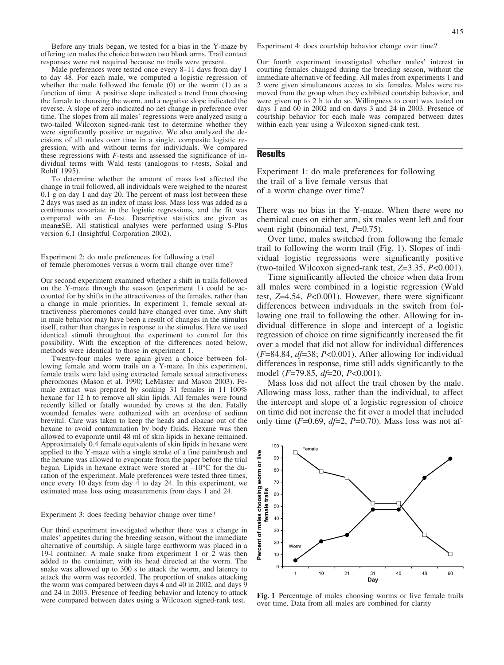Before any trials began, we tested for a bias in the Y-maze by offering ten males the choice between two blank arms. Trail contact responses were not required because no trails were present.

Male preferences were tested once every 8–11 days from day 1 to day 48. For each male, we computed a logistic regression of whether the male followed the female  $(0)$  or the worm  $(1)$  as a function of time. A positive slope indicated a trend from choosing the female to choosing the worm, and a negative slope indicated the reverse. A slope of zero indicated no net change in preference over time. The slopes from all males' regressions were analyzed using a two-tailed Wilcoxon signed-rank test to determine whether they were significantly positive or negative. We also analyzed the decisions of all males over time in a single, composite logistic regression, with and without terms for individuals. We compared these regressions with  $F$ -tests and assessed the significance of individual terms with Wald tests (analogous to t-tests, Sokal and Rohlf 1995).

To determine whether the amount of mass lost affected the change in trail followed, all individuals were weighed to the nearest 0.1 g on day 1 and day 20. The percent of mass lost between these 2 days was used as an index of mass loss. Mass loss was added as a continuous covariate in the logistic regressions, and the fit was compared with an F-test. Descriptive statistics are given as mean±SE. All statistical analyses were performed using S-Plus version 6.1 (Insightful Corporation 2002).

Experiment 2: do male preferences for following a trail of female pheromones versus a worm trail change over time?

Our second experiment examined whether a shift in trails followed on the Y-maze through the season (experiment 1) could be accounted for by shifts in the attractiveness of the females, rather than a change in male priorities. In experiment 1, female sexual attractiveness pheromones could have changed over time. Any shift in male behavior may have been a result of changes in the stimulus itself, rather than changes in response to the stimulus. Here we used identical stimuli throughout the experiment to control for this possibility. With the exception of the differences noted below, methods were identical to those in experiment 1.

Twenty-four males were again given a choice between following female and worm trails on a Y-maze. In this experiment, female trails were laid using extracted female sexual attractiveness pheromones (Mason et al. 1990; LeMaster and Mason 2003). Female extract was prepared by soaking 31 females in  $11\,100\%$ hexane for 12 h to remove all skin lipids. All females were found recently killed or fatally wounded by crows at the den. Fatally wounded females were euthanized with an overdose of sodium brevital. Care was taken to keep the heads and cloacae out of the hexane to avoid contamination by body fluids. Hexane was then allowed to evaporate until 48 ml of skin lipids in hexane remained. Approximately 0.4 female equivalents of skin lipids in hexane were applied to the Y-maze with a single stroke of a fine paintbrush and the hexane was allowed to evaporate from the paper before the trial began. Lipids in hexane extract were stored at  $-10^{\circ}$ C for the duration of the experiment. Male preferences were tested three times, once every 10 days from day  $\overline{4}$  to day 24. In this experiment, we estimated mass loss using measurements from days 1 and 24.

#### Experiment 3: does feeding behavior change over time?

Our third experiment investigated whether there was a change in males' appetites during the breeding season, without the immediate alternative of courtship. A single large earthworm was placed in a 19-l container. A male snake from experiment 1 or 2 was then added to the container, with its head directed at the worm. The snake was allowed up to 300 s to attack the worm, and latency to attack the worm was recorded. The proportion of snakes attacking the worm was compared between days 4 and 40 in 2002, and days 9 and 24 in 2003. Presence of feeding behavior and latency to attack were compared between dates using a Wilcoxon signed-rank test.

Experiment 4: does courtship behavior change over time?

Our fourth experiment investigated whether males' interest in courting females changed during the breeding season, without the immediate alternative of feeding. All males from experiments 1 and 2 were given simultaneous access to six females. Males were removed from the group when they exhibited courtship behavior, and were given up to 2 h to do so. Willingness to court was tested on days 1 and 60 in 2002 and on days 3 and 24 in 2003. Presence of courtship behavior for each male was compared between dates within each year using a Wilcoxon signed-rank test.

### **Results**

Experiment 1: do male preferences for following the trail of a live female versus that of a worm change over time?

There was no bias in the Y-maze. When there were no chemical cues on either arm, six males went left and four went right (binomial test,  $P=0.75$ ).

Over time, males switched from following the female trail to following the worm trail (Fig. 1). Slopes of individual logistic regressions were significantly positive (two-tailed Wilcoxon signed-rank test,  $Z=3.35$ ,  $P<0.001$ ).

Time significantly affected the choice when data from all males were combined in a logistic regression (Wald test, Z=4.54, P<0.001). However, there were significant differences between individuals in the switch from following one trail to following the other. Allowing for individual difference in slope and intercept of a logistic regression of choice on time significantly increased the fit over a model that did not allow for individual differences  $(F=84.84, df=38; P<0.001)$ . After allowing for individual differences in response, time still adds significantly to the model  $(F=79.85, df=20, P<0.001)$ .

Mass loss did not affect the trail chosen by the male. Allowing mass loss, rather than the individual, to affect the intercept and slope of a logistic regression of choice on time did not increase the fit over a model that included only time  $(F=0.69, df=2, P=0.70)$ . Mass loss was not af-



Fig. 1 Percentage of males choosing worms or live female trails over time. Data from all males are combined for clarity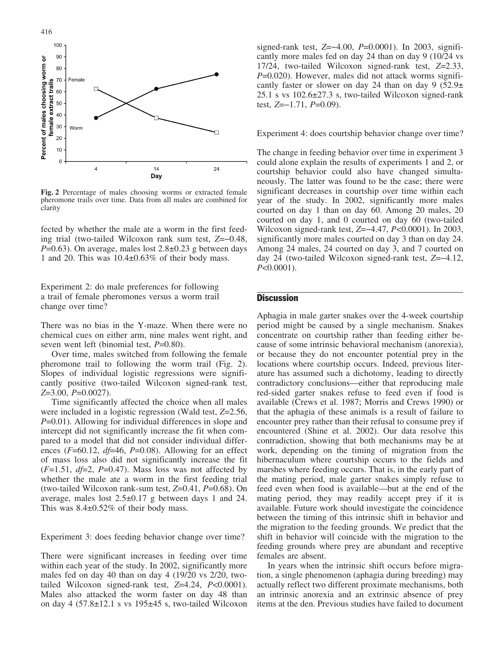

Fig. 2 Percentage of males choosing worms or extracted female pheromone trails over time. Data from all males are combined for clarity

fected by whether the male ate a worm in the first feeding trial (two-tailed Wilcoxon rank sum test,  $Z=-0.48$ ,  $P=0.63$ ). On average, males lost  $2.8\pm0.23$  g between days 1 and 20. This was  $10.4\pm0.63\%$  of their body mass.

Experiment 2: do male preferences for following a trail of female pheromones versus a worm trail change over time?

There was no bias in the Y-maze. When there were no chemical cues on either arm, nine males went right, and seven went left (binomial test,  $P=0.80$ ).

Over time, males switched from following the female pheromone trail to following the worm trail (Fig. 2). Slopes of individual logistic regressions were significantly positive (two-tailed Wilcoxon signed-rank test,  $Z=3.00, P=0.0027$ ).

Time significantly affected the choice when all males were included in a logistic regression (Wald test, Z=2.56,  $P=0.01$ ). Allowing for individual differences in slope and intercept did not significantly increase the fit when compared to a model that did not consider individual differences ( $F=60.12$ ,  $df=46$ ,  $P=0.08$ ). Allowing for an effect of mass loss also did not significantly increase the fit  $(F=1.51, df=2, P=0.47)$ . Mass loss was not affected by whether the male ate a worm in the first feeding trial (two-tailed Wilcoxon rank-sum test,  $Z=0.41$ ,  $P=0.68$ ). On average, males lost  $2.5\pm0.17$  g between days 1 and 24. This was  $8.4\pm0.52\%$  of their body mass.

Experiment 3: does feeding behavior change over time?

There were significant increases in feeding over time within each year of the study. In 2002, significantly more males fed on day 40 than on day 4 (19/20 vs 2/20, twotailed Wilcoxon signed-rank test, Z=4.24, P<0.0001). Males also attacked the worm faster on day 48 than on day 4  $(57.8 \pm 12.1 \text{ s vs } 195 \pm 45 \text{ s},$  two-tailed Wilcoxon

signed-rank test,  $Z=-4.00$ ,  $P=0.0001$ ). In 2003, significantly more males fed on day 24 than on day 9 (10/24 vs 17/24, two-tailed Wilcoxon signed-rank test, Z=2.33,  $P=0.020$ ). However, males did not attack worms significantly faster or slower on day 24 than on day 9 (52.9 $\pm$ 25.1 s vs  $102.6 \pm 27.3$  s, two-tailed Wilcoxon signed-rank test,  $Z=-1.71$ ,  $P=0.09$ ).

Experiment 4: does courtship behavior change over time?

The change in feeding behavior over time in experiment 3 could alone explain the results of experiments 1 and 2, or courtship behavior could also have changed simultaneously. The latter was found to be the case; there were significant decreases in courtship over time within each year of the study. In 2002, significantly more males courted on day 1 than on day 60. Among 20 males, 20 courted on day 1, and 0 courted on day 60 (two-tailed Wilcoxon signed-rank test, Z=-4.47, P<0.0001). In 2003, significantly more males courted on day 3 than on day 24. Among 24 males, 24 courted on day 3, and 7 courted on day 24 (two-tailed Wilcoxon signed-rank test,  $Z=-4.12$ ,  $P<0.0001$ ).

## **Discussion**

Aphagia in male garter snakes over the 4-week courtship period might be caused by a single mechanism. Snakes concentrate on courtship rather than feeding either because of some intrinsic behavioral mechanism (anorexia), or because they do not encounter potential prey in the locations where courtship occurs. Indeed, previous literature has assumed such a dichotomy, leading to directly contradictory conclusions—either that reproducing male red-sided garter snakes refuse to feed even if food is available (Crews et al. 1987; Morris and Crews 1990) or that the aphagia of these animals is a result of failure to encounter prey rather than their refusal to consume prey if encountered (Shine et al. 2002). Our data resolve this contradiction, showing that both mechanisms may be at work, depending on the timing of migration from the hibernaculum where courtship occurs to the fields and marshes where feeding occurs. That is, in the early part of the mating period, male garter snakes simply refuse to feed even when food is available—but at the end of the mating period, they may readily accept prey if it is available. Future work should investigate the coincidence between the timing of this intrinsic shift in behavior and the migration to the feeding grounds. We predict that the shift in behavior will coincide with the migration to the feeding grounds where prey are abundant and receptive females are absent.

In years when the intrinsic shift occurs before migration, a single phenomenon (aphagia during breeding) may actually reflect two different proximate mechanisms, both an intrinsic anorexia and an extrinsic absence of prey items at the den. Previous studies have failed to document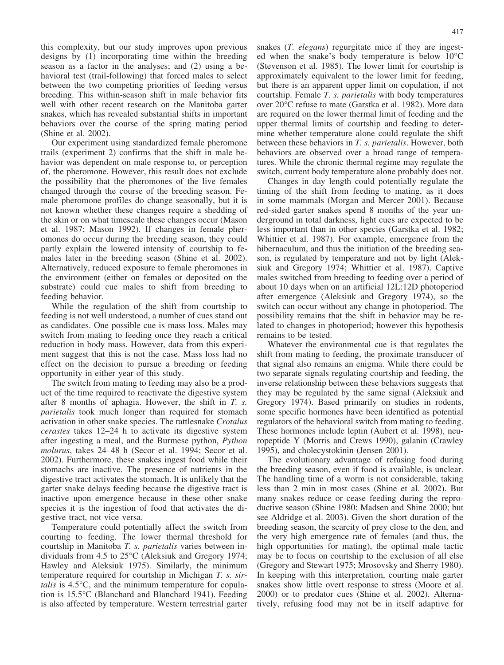this complexity, but our study improves upon previous designs by (1) incorporating time within the breeding season as a factor in the analyses; and (2) using a behavioral test (trail-following) that forced males to select between the two competing priorities of feeding versus breeding. This within-season shift in male behavior fits well with other recent research on the Manitoba garter snakes, which has revealed substantial shifts in important behaviors over the course of the spring mating period (Shine et al. 2002).

Our experiment using standardized female pheromone trails (experiment 2) confirms that the shift in male behavior was dependent on male response to, or perception of, the pheromone. However, this result does not exclude the possibility that the pheromones of the live females changed through the course of the breeding season. Female pheromone profiles do change seasonally, but it is not known whether these changes require a shedding of the skin or on what timescale these changes occur (Mason et al. 1987; Mason 1992). If changes in female pheromones do occur during the breeding season, they could partly explain the lowered intensity of courtship to females later in the breeding season (Shine et al. 2002). Alternatively, reduced exposure to female pheromones in the environment (either on females or deposited on the substrate) could cue males to shift from breeding to feeding behavior.

While the regulation of the shift from courtship to feeding is not well understood, a number of cues stand out as candidates. One possible cue is mass loss. Males may switch from mating to feeding once they reach a critical reduction in body mass. However, data from this experiment suggest that this is not the case. Mass loss had no effect on the decision to pursue a breeding or feeding opportunity in either year of this study.

The switch from mating to feeding may also be a product of the time required to reactivate the digestive system after 8 months of aphagia. However, the shift in T. s. parietalis took much longer than required for stomach activation in other snake species. The rattlesnake Crotalus cerastes takes 12–24 h to activate its digestive system after ingesting a meal, and the Burmese python, Python molurus, takes 24–48 h (Secor et al. 1994; Secor et al. 2002). Furthermore, these snakes ingest food while their stomachs are inactive. The presence of nutrients in the digestive tract activates the stomach. It is unlikely that the garter snake delays feeding because the digestive tract is inactive upon emergence because in these other snake species it is the ingestion of food that activates the digestive tract, not vice versa.

Temperature could potentially affect the switch from courting to feeding. The lower thermal threshold for courtship in Manitoba T. s. parietalis varies between individuals from  $4.5$  to  $25^{\circ}$ C (Aleksiuk and Gregory 1974; Hawley and Aleksiuk 1975). Similarly, the minimum temperature required for courtship in Michigan T. s. sirtalis is  $4.5^{\circ}$ C, and the minimum temperature for copulation is 15.5°C (Blanchard and Blanchard 1941). Feeding is also affected by temperature. Western terrestrial garter snakes (*T. elegans*) regurgitate mice if they are ingested when the snake's body temperature is below  $10^{\circ}$ C (Stevenson et al. 1985). The lower limit for courtship is approximately equivalent to the lower limit for feeding, but there is an apparent upper limit on copulation, if not courtship. Female T. s. parietalis with body temperatures over 20°C refuse to mate (Garstka et al. 1982). More data are required on the lower thermal limit of feeding and the upper thermal limits of courtship and feeding to determine whether temperature alone could regulate the shift between these behaviors in T. s. parietalis. However, both behaviors are observed over a broad range of temperatures. While the chronic thermal regime may regulate the switch, current body temperature alone probably does not.

Changes in day length could potentially regulate the timing of the shift from feeding to mating, as it does in some mammals (Morgan and Mercer 2001). Because red-sided garter snakes spend 8 months of the year underground in total darkness, light cues are expected to be less important than in other species (Garstka et al. 1982; Whittier et al. 1987). For example, emergence from the hibernaculum, and thus the initiation of the breeding season, is regulated by temperature and not by light (Aleksiuk and Gregory 1974; Whittier et al. 1987). Captive males switched from breeding to feeding over a period of about 10 days when on an artificial 12L:12D photoperiod after emergence (Aleksiuk and Gregory 1974), so the switch can occur without any change in photoperiod. The possibility remains that the shift in behavior may be related to changes in photoperiod; however this hypothesis remains to be tested.

Whatever the environmental cue is that regulates the shift from mating to feeding, the proximate transducer of that signal also remains an enigma. While there could be two separate signals regulating courtship and feeding, the inverse relationship between these behaviors suggests that they may be regulated by the same signal (Aleksiuk and Gregory 1974). Based primarily on studies in rodents, some specific hormones have been identified as potential regulators of the behavioral switch from mating to feeding. These hormones include leptin (Aubert et al. 1998), neuropeptide Y (Morris and Crews 1990), galanin (Crawley 1995), and cholecystokinin (Jensen 2001).

The evolutionary advantage of refusing food during the breeding season, even if food is available, is unclear. The handling time of a worm is not considerable, taking less than 2 min in most cases (Shine et al. 2002). But many snakes reduce or cease feeding during the reproductive season (Shine 1980; Madsen and Shine 2000; but see Aldridge et al. 2003). Given the short duration of the breeding season, the scarcity of prey close to the den, and the very high emergence rate of females (and thus, the high opportunities for mating), the optimal male tactic may be to focus on courtship to the exclusion of all else (Gregory and Stewart 1975; Mrosovsky and Sherry 1980). In keeping with this interpretation, courting male garter snakes show little overt response to stress (Moore et al. 2000) or to predator cues (Shine et al. 2002). Alternatively, refusing food may not be in itself adaptive for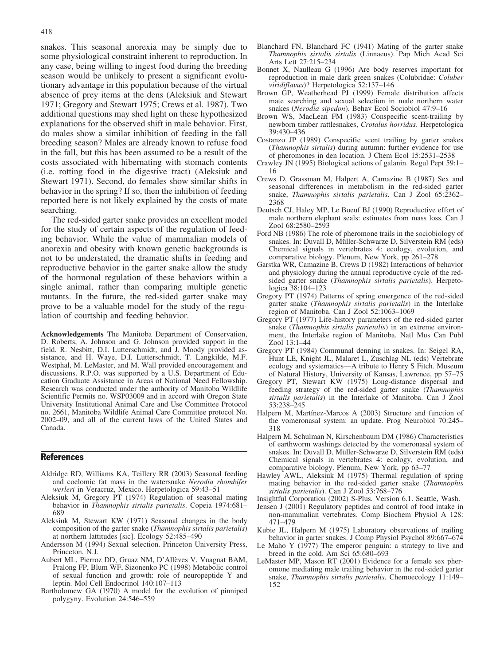snakes. This seasonal anorexia may be simply due to some physiological constraint inherent to reproduction. In any case, being willing to ingest food during the breeding season would be unlikely to present a significant evolutionary advantage in this population because of the virtual absence of prey items at the dens (Aleksiuk and Stewart 1971; Gregory and Stewart 1975; Crews et al. 1987). Two additional questions may shed light on these hypothesized explanations for the observed shift in male behavior. First, do males show a similar inhibition of feeding in the fall breeding season? Males are already known to refuse food in the fall, but this has been assumed to be a result of the costs associated with hibernating with stomach contents (i.e. rotting food in the digestive tract) (Aleksiuk and Stewart 1971). Second, do females show similar shifts in behavior in the spring? If so, then the inhibition of feeding reported here is not likely explained by the costs of mate searching.

The red-sided garter snake provides an excellent model for the study of certain aspects of the regulation of feeding behavior. While the value of mammalian models of anorexia and obesity with known genetic backgrounds is not to be understated, the dramatic shifts in feeding and reproductive behavior in the garter snake allow the study of the hormonal regulation of these behaviors within a single animal, rather than comparing multiple genetic mutants. In the future, the red-sided garter snake may prove to be a valuable model for the study of the regulation of courtship and feeding behavior.

Acknowledgements The Manitoba Department of Conservation, D. Roberts, A. Johnson and G. Johnson provided support in the field. R. Nesbitt, D.I. Lutterschmidt, and J. Moody provided assistance, and H. Waye, D.I. Lutterschmidt, T. Langkilde, M.F. Westphal, M. LeMaster, and M. Wall provided encouragement and discussions. R.P.O. was supported by a U.S. Department of Education Graduate Assistance in Areas of National Need Fellowship. Research was conducted under the authority of Manitoba Wildlife Scientific Permits no. WSP03009 and in accord with Oregon State University Institutional Animal Care and Use Committee Protocol no. 2661, Manitoba Wildlife Animal Care Committee protocol No. 2002–09, and all of the current laws of the United States and Canada.

## References

- Aldridge RD, Williams KA, Teillery RR (2003) Seasonal feeding and coelomic fat mass in the watersnake Nerodia rhombifer werleri in Veracruz, Mexico. Herpetologica 59:43–51
- Aleksiuk M, Gregory PT (1974) Regulation of seasonal mating behavior in Thamnophis sirtalis parietalis. Copeia 1974:681– 689
- Aleksiuk M, Stewart KW (1971) Seasonal changes in the body composition of the garter snake (Thamnophis sirtalis parietalis) at northern lattitudes [sic]. Ecology 52:485–490
- Andersson M (1994) Sexual selection. Princeton University Press, Princeton, N.J.
- Aubert ML, Pierroz DD, Gruaz NM, D'Allèves V, Vuagnat BAM, Pralong FP, Blum WF, Sizonenko PC (1998) Metabolic control of sexual function and growth: role of neuropeptide Y and leptin. Mol Cell Endocrinol 140:107–113
- Bartholomew GA (1970) A model for the evolution of pinniped polygyny. Evolution 24:546–559
- Blanchard FN, Blanchard FC (1941) Mating of the garter snake Thamnophis sirtalis sirtalis (Linnaeus). Pap Mich Acad Sci Arts Lett 27:215–234
- Bonnet X, Naulleau G (1996) Are body reserves important for reproduction in male dark green snakes (Colubridae: Coluber viridiflavus)? Herpetologica 52:137–146
- Brown GP, Weatherhead PJ (1999) Female distribution affects mate searching and sexual selection in male northern water snakes (Nerodia sipedon). Behav Ecol Sociobiol 47:9–16
- Brown WS, MacLean FM (1983) Conspecific scent-trailing by newborn timber rattlesnakes, Crotalus horridus. Herpetologica 39:430–436
- Costanzo JP (1989) Conspecific scent trailing by garter snakes (Thamnophis sirtalis) during autumn: further evidence for use of pheromones in den location. J Chem Ecol 15:2531–2538
- Crawley JN (1995) Biological actions of galanin. Regul Pept 59:1– 16
- Crews D, Grassman M, Halpert A, Camazine B (1987) Sex and seasonal differences in metabolism in the red-sided garter snake, Thamnophis sirtalis parietalis. Can J Zool 65:2362-2368
- Deutsch CJ, Haley MP, Le Boeuf BJ (1990) Reproductive effort of male northern elephant seals: estimates from mass loss. Can J Zool 68:2580–2593
- Ford NB (1986) The role of pheromone trails in the sociobiology of snakes. In: Duvall D, Müller-Schwarze D, Silverstein RM (eds) Chemical signals in vertebrates 4: ecology, evolution, and comparative biology. Plenum, New York, pp 261–278
- Garstka WR, Camazine B, Crews D (1982) Interactions of behavior and physiology during the annual reproductive cycle of the redsided garter snake (Thamnophis sirtalis parietalis). Herpetologica 38:104–123
- Gregory PT (1974) Patterns of spring emergence of the red-sided garter snake (Thamnophis sirtalis parietalis) in the Interlake region of Manitoba. Can J Zool 52:1063–1069
- Gregory PT (1977) Life-history parameters of the red-sided garter snake (Thamnophis sirtalis parietalis) in an extreme environment, the Interlake region of Manitoba. Natl Mus Can Publ Zool 13:1–44
- Gregory PT (1984) Communal denning in snakes. In: Seigel RA, Hunt LE, Knight JL, Malaret L, Zuschlag NL (eds) Vertebrate ecology and systematics—A tribute to Henry S Fitch. Museum of Natural History, University of Kansas, Lawrence, pp 57–75
- Gregory PT, Stewart KW (1975) Long-distance dispersal and feeding strategy of the red-sided garter snake (Thamnophis sirtalis parietalis) in the Interlake of Manitoba. Can J Zool 53:238–245
- Halpern M, Martínez-Marcos A (2003) Structure and function of the vomeronasal system: an update. Prog Neurobiol 70:245– 318
- Halpern M, Schulman N, Kirschenbaum DM (1986) Characteristics of earthworm washings detected by the vomeronasal system of snakes. In: Duvall D, Müller-Schwarze D, Silverstein RM (eds) Chemical signals in vertebrates 4: ecology, evolution, and comparative biology. Plenum, New York, pp 63–77
- Hawley AWL, Aleksiuk M (1975) Thermal regulation of spring mating behavior in the red-sided garter snake (Thamnophis sirtalis parietalis). Can J Zool 53:768–776

Insightful Corporation (2002) S-Plus. Version 6.1. Seattle, Wash.

- Jensen J (2001) Regulatory peptides and control of food intake in non-mammalian vertebrates. Comp Biochem Physiol A 128: 471–479
- Kubie JL, Halpern M (1975) Laboratory observations of trailing behavior in garter snakes. J Comp Physiol Psychol 89:667–674
- Le Maho Y (1977) The emperor penguin: a strategy to live and breed in the cold. Am Sci 65:680–693
- LeMaster MP, Mason RT (2001) Evidence for a female sex pheromone mediating male trailing behavior in the red-sided garter snake, Thamnophis sirtalis parietalis. Chemoecology 11:149– 152